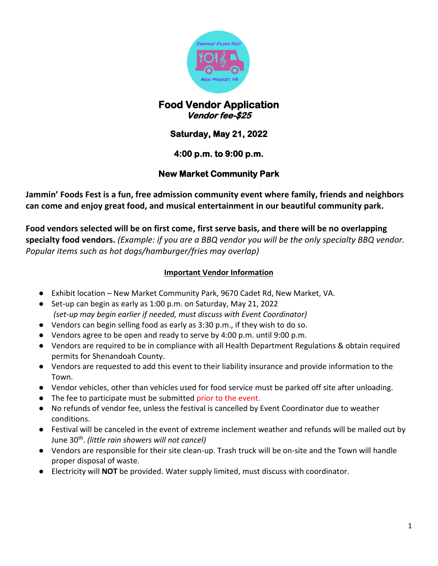

## **Food Vendor Application Vendor fee-\$25**

# **Saturday, May 21, 2022**

### **4:00 p.m. to 9:00 p.m.**

### **New Market Community Park**

**Jammin' Foods Fest is a fun, free admission community event where family, friends and neighbors can come and enjoy great food, and musical entertainment in our beautiful community park.**

**Food vendors selected will be on first come, first serve basis, and there will be no overlapping specialty food vendors.** *(Example: if you are a BBQ vendor you will be the only specialty BBQ vendor. Popular items such as hot dogs/hamburger/fries may overlap)* 

#### **Important Vendor Information**

- Exhibit location New Market Community Park, 9670 Cadet Rd, New Market, VA.
- Set-up can begin as early as 1:00 p.m. on Saturday, May 21, 2022 *(set-up may begin earlier if needed, must discuss with Event Coordinator)*
- Vendors can begin selling food as early as 3:30 p.m., if they wish to do so.
- Vendors agree to be open and ready to serve by 4:00 p.m. until 9:00 p.m.
- Vendors are required to be in compliance with all Health Department Regulations & obtain required permits for Shenandoah County.
- Vendors are requested to add this event to their liability insurance and provide information to the Town.
- Vendor vehicles, other than vehicles used for food service must be parked off site after unloading.
- The fee to participate must be submitted prior to the event.
- No refunds of vendor fee, unless the festival is cancelled by Event Coordinator due to weather conditions.
- Festival will be canceled in the event of extreme inclement weather and refunds will be mailed out by June 30 th . *(little rain showers will not cancel)*
- Vendors are responsible for their site clean-up. Trash truck will be on-site and the Town will handle proper disposal of waste.
- Electricity will **NOT** be provided. Water supply limited, must discuss with coordinator.